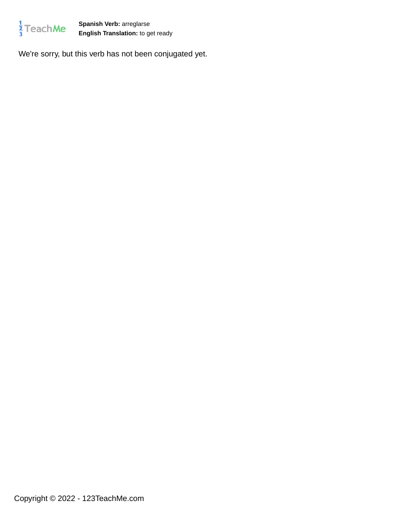

**Spanish Verb:** arreglarse **English Translation:** to get ready

We're sorry, but this verb has not been conjugated yet.